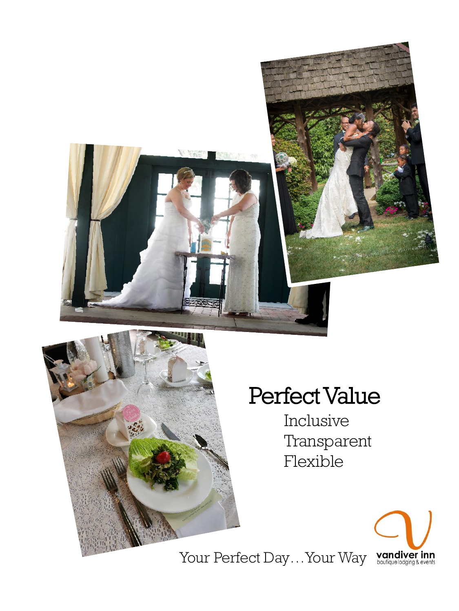



# Perfect Value

Inclusive Transparent Flexible



Your Perfect Day...Your Way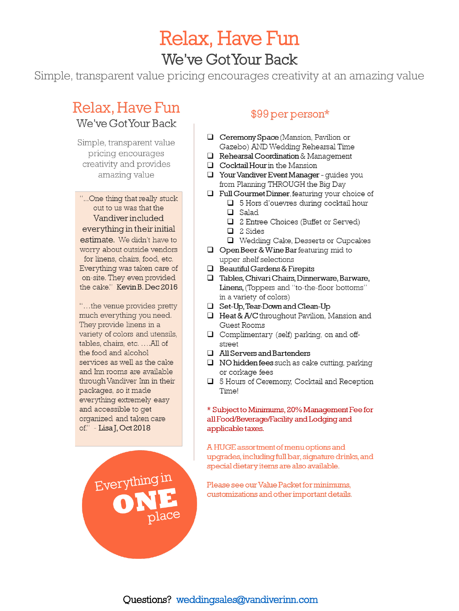# **Relax, Have Fun** We've GotYour Back

Simple, transparent value pricing encourages creativity at an amazing value

## Relax, Have Fun

We've Got Your Back

Simple, transparent value pricing encourages creativity and provides amazing value

"...One thing that really stuck out to us was that the Vandiver included everything in their initial estimate. We didn't have to worry about outside vendors for linens, chairs, food, etc. Everything was taken care of on-site. They even provided the cake." Kevin B. Dec 2016

"...the venue provides pretty much everything you need. They provide linens in a variety of colors and utensils. tables, chairs, etc. .... All of the food and alcohol services as well as the cake and Inn rooms are available through Vandiver Inn in their packages, so it made everything extremely easy and accessible to get organized and taken care of." - Lisa J, Oct 2018

Everything in

### \$99 per person\*

- $\Box$  Ceremony Space (Mansion, Pavilion or Gazebo) AND Wedding Rehearsal Time
- $\Box$  Rehearsal Coordination & Management
- $\Box$  Cocktail Hour in the Mansion
- $\Box$  Your Vandiver Event Manager quides you from Planning THROUGH the Big Day
- $\Box$  Full Gourmet Dinner, featuring your choice of
	- □ 5 Hors d'ouevres during cocktail hour
	- $\Box$  Salad
	- □ 2 Entree Choices (Buffet or Served)
	- $\Box$  2 Sides
	- Wedding Cake, Desserts or Cupcakes
- $\Box$  Open Beer & Wine Bar featuring mid to upper shelf selections
- $\Box$  Beautiful Gardens & Firepits
- Tables, Chivari Chairs, Dinnerware, Barware, Linens, (Toppers and "to-the-floor bottoms" in a variety of colors)
- Set-Up, Tear-Down and Clean-Up
- $\Box$  Heat & A/C throughout Pavilion, Mansion and Guest Rooms
- $\Box$  Complimentary (self) parking, on and offstreet
- $\Box$  All Servers and Bartenders
- $\Box$  NO hidden fees such as cake cutting, parking or corkage fees
- □ 5 Hours of Ceremony, Cocktail and Reception Time!

#### \* Subject to Minimums, 20% Management Fee for all Food/Beverage/Facility and Lodging and applicable taxes.

A HUGE assortment of menu options and upgrades, including full bar, signature drinks, and special dietary items are also available.

Please see our Value Packet for minimums, customizations and other important details.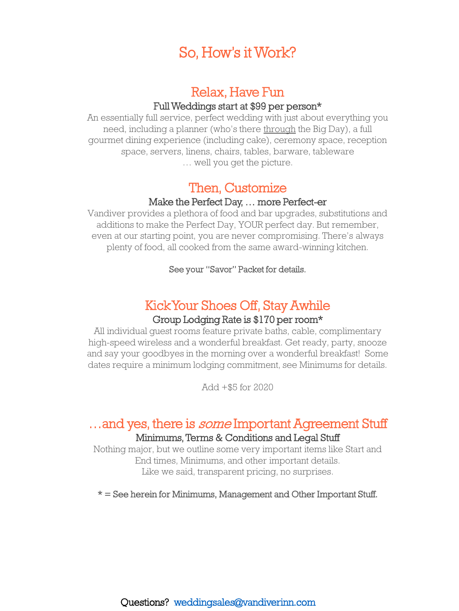## So, How's it Work?

## Relax, Have Fun Full Weddings start at \$99 per person\*

An essentially full service, perfect wedding with just about everything you need, including a planner (who's there through the Big Day), a full gourmet dining experience (including cake), ceremony space, reception space, servers, linens, chairs, tables, barware, tableware … well you get the picture.

## Then, Customize

#### Make the Perfect Day, … more Perfect-er

Vandiver provides a plethora of food and bar upgrades, substitutions and additions to make the Perfect Day, YOUR perfect day. But remember, even at our starting point, you are never compromising. There's always plenty of food, all cooked from the same award-winning kitchen.

See your "Savor" Packet for details.

## Kick Your Shoes Off, Stay Awhile

#### Group Lodging Rate is \$170 per room\*

All individual guest rooms feature private baths, cable, complimentary high-speed wireless and a wonderful breakfast. Get ready, party, snooze and say your goodbyes in the morning over a wonderful breakfast! Some dates require a minimum lodging commitment, see Minimums for details.

Add +\$5 for 2020

## ... and yes, there is *some* Important Agreement Stuff Minimums, Terms & Conditions and Legal Stuff

Nothing major, but we outline some very important items like Start and End times, Minimums, and other important details. Like we said, transparent pricing, no surprises.

\* = See herein for Minimums, Management and Other Important Stuff.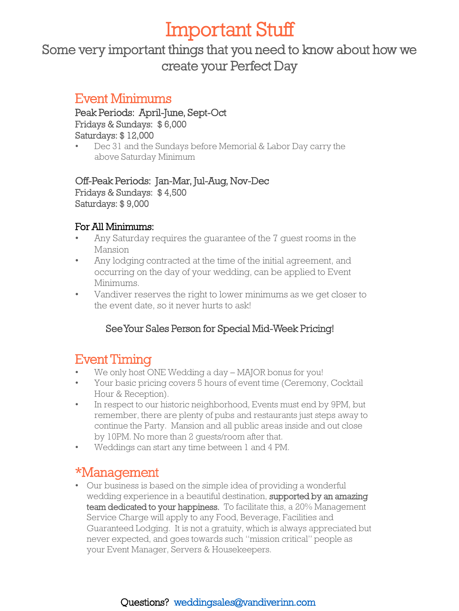# Important Stuff

Some very important things that you need to know about how we create your Perfect Day

### Event Minimums

Peak Periods: April-June, Sept-Oct Fridays & Sundays: \$ 6,000 Saturdays: \$ 12,000

• Dec 31 and the Sundays before Memorial & Labor Day carry the above Saturday Minimum

Off-Peak Periods: Jan-Mar, Jul-Aug, Nov-Dec Fridays & Sundays: \$ 4,500 Saturdays: \$ 9,000

### For All Minimums:

- Any Saturday requires the guarantee of the 7 guest rooms in the Mansion
- Any lodging contracted at the time of the initial agreement, and occurring on the day of your wedding, can be applied to Event Minimums.
- Vandiver reserves the right to lower minimums as we get closer to the event date, so it never hurts to ask!

### See Your Sales Person for Special Mid-Week Pricing!

## Event Timing

- We only host ONE Wedding a day MAJOR bonus for you!
- Your basic pricing covers 5 hours of event time (Ceremony, Cocktail Hour & Reception).
- In respect to our historic neighborhood, Events must end by 9PM, but remember, there are plenty of pubs and restaurants just steps away to continue the Party. Mansion and all public areas inside and out close by 10PM. No more than 2 guests/room after that.
- Weddings can start any time between 1 and 4 PM.

## \*Management

• Our business is based on the simple idea of providing a wonderful wedding experience in a beautiful destination, supported by an amazing team dedicated to your happiness. To facilitate this, a 20% Management Service Charge will apply to any Food, Beverage, Facilities and Guaranteed Lodging. It is not a gratuity, which is always appreciated but never expected, and goes towards such "mission critical" people as your Event Manager, Servers & Housekeepers.